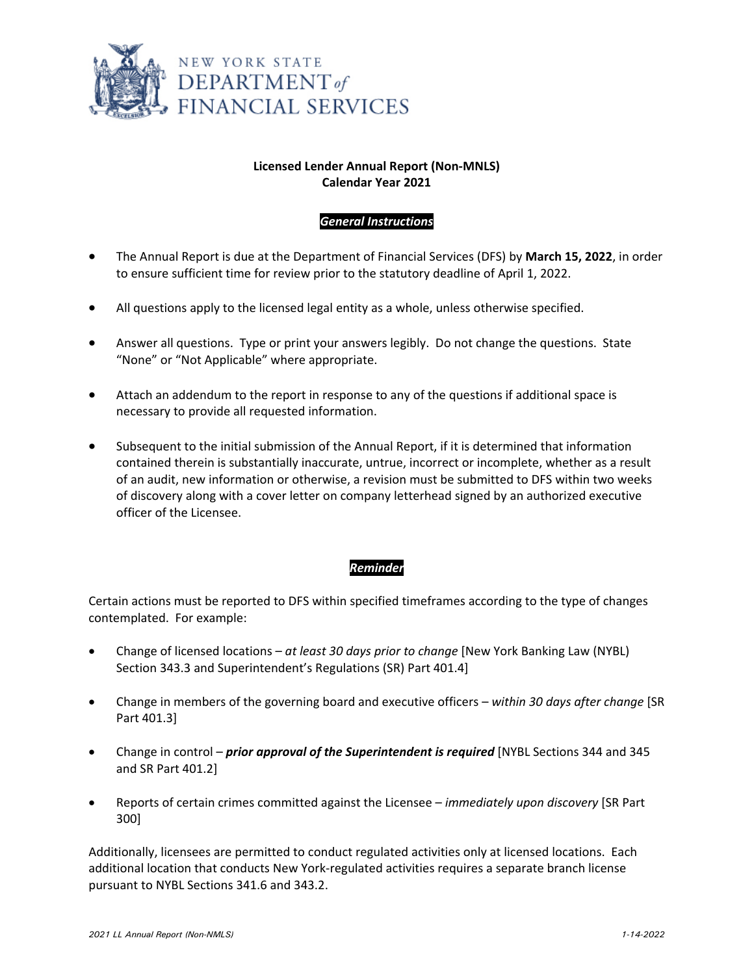

# **Licensed Lender Annual Report (Non‐MNLS) Calendar Year 2021**

### *General Instructions*

- The Annual Report is due at the Department of Financial Services (DFS) by **March 15, 2022**, in order to ensure sufficient time for review prior to the statutory deadline of April 1, 2022.
- All questions apply to the licensed legal entity as a whole, unless otherwise specified.
- Answer all questions. Type or print your answers legibly. Do not change the questions. State "None" or "Not Applicable" where appropriate.
- Attach an addendum to the report in response to any of the questions if additional space is necessary to provide all requested information.
- Subsequent to the initial submission of the Annual Report, if it is determined that information contained therein is substantially inaccurate, untrue, incorrect or incomplete, whether as a result of an audit, new information or otherwise, a revision must be submitted to DFS within two weeks of discovery along with a cover letter on company letterhead signed by an authorized executive officer of the Licensee.

### *Reminder*

Certain actions must be reported to DFS within specified timeframes according to the type of changes contemplated. For example:

- Change of licensed locations *at least 30 days prior to change* [New York Banking Law (NYBL) Section 343.3 and Superintendent's Regulations (SR) Part 401.4]
- Change in members of the governing board and executive officers *within 30 days after change* [SR Part 401.3]
- Change in control *prior approval of the Superintendent is required* [NYBL Sections 344 and 345 and SR Part 401.2]
- Reports of certain crimes committed against the Licensee *immediately upon discovery* [SR Part 300]

Additionally, licensees are permitted to conduct regulated activities only at licensed locations. Each additional location that conducts New York‐regulated activities requires a separate branch license pursuant to NYBL Sections 341.6 and 343.2.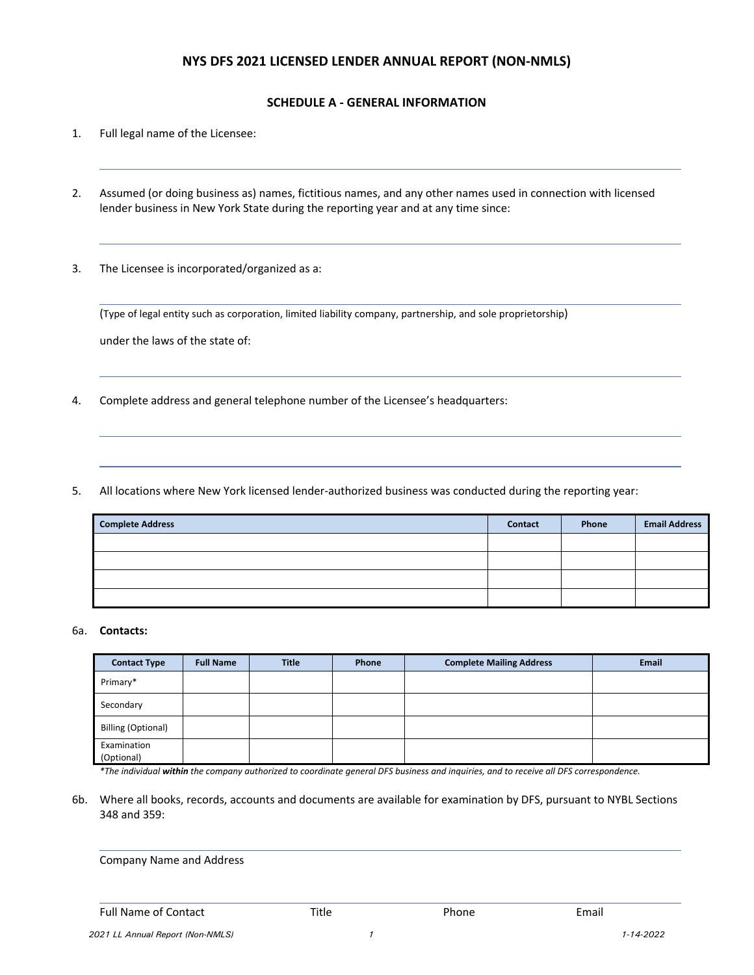### **NYS DFS 2021 LICENSED LENDER ANNUAL REPORT (NON‐NMLS)**

### **SCHEDULE A ‐ GENERAL INFORMATION**

- 1. Full legal name of the Licensee:
- 2. Assumed (or doing business as) names, fictitious names, and any other names used in connection with licensed lender business in New York State during the reporting year and at any time since:
- 3. The Licensee is incorporated/organized as a:

(Type of legal entity such as corporation, limited liability company, partnership, and sole proprietorship)

under the laws of the state of:

4. Complete address and general telephone number of the Licensee's headquarters:

5. All locations where New York licensed lender-authorized business was conducted during the reporting year:

| <b>Complete Address</b> | <b>Contact</b> | Phone | <b>Email Address</b> |
|-------------------------|----------------|-------|----------------------|
|                         |                |       |                      |
|                         |                |       |                      |
|                         |                |       |                      |
|                         |                |       |                      |

#### 6a. **Contacts:**

| <b>Contact Type</b>       | <b>Full Name</b> | <b>Title</b> | Phone | <b>Complete Mailing Address</b> | <b>Email</b> |
|---------------------------|------------------|--------------|-------|---------------------------------|--------------|
| Primary*                  |                  |              |       |                                 |              |
| Secondary                 |                  |              |       |                                 |              |
| <b>Billing (Optional)</b> |                  |              |       |                                 |              |
| Examination<br>(Optional) |                  |              |       |                                 |              |

\*The individual within the company authorized to coordinate general DFS business and inquiries, and to receive all DFS correspondence.

6b. Where all books, records, accounts and documents are available for examination by DFS, pursuant to NYBL Sections 348 and 359:

Company Name and Address

<u> 1989 - Andrea Santa Andrea Andrea Andrea Andrea Andrea Andrea Andrea Andrea Andrea Andrea Andrea Andrea Andr</u>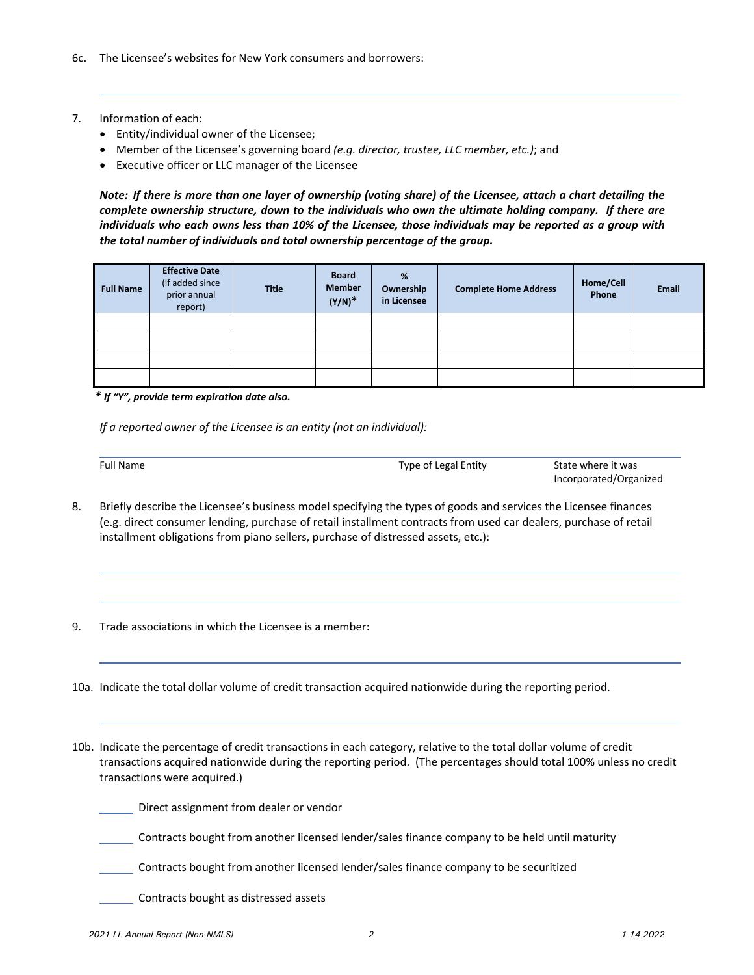- 7. Information of each:
	- Entity/individual owner of the Licensee;
	- Member of the Licensee's governing board *(e.g. director, trustee, LLC member, etc.)*; and
	- Executive officer or LLC manager of the Licensee

Note: If there is more than one layer of ownership (voting share) of the Licensee, attach a chart detailing the *complete ownership structure, down to the individuals who own the ultimate holding company. If there are* individuals who each owns less than 10% of the Licensee, those individuals may be reported as a group with *the total number of individuals and total ownership percentage of the group..* 

| <b>Full Name</b> | <b>Effective Date</b><br>(if added since<br>prior annual<br>report) | <b>Title</b> | <b>Board</b><br><b>Member</b><br>$(Y/N)^*$ | %<br>Ownership<br>in Licensee | <b>Complete Home Address</b> | Home/Cell<br>Phone | <b>Email</b> |
|------------------|---------------------------------------------------------------------|--------------|--------------------------------------------|-------------------------------|------------------------------|--------------------|--------------|
|                  |                                                                     |              |                                            |                               |                              |                    |              |
|                  |                                                                     |              |                                            |                               |                              |                    |              |
|                  |                                                                     |              |                                            |                               |                              |                    |              |
|                  |                                                                     |              |                                            |                               |                              |                    |              |

 *\* If "Y", provide term expiration date also.*

*If a reported owner of the Licensee is an entity (not an individual):*

<u> 1989 - Andrea Stadt, fransk politik (d. 1989)</u>

Full Name **Type of Legal Entity** State where it was state where it was state where it was state where it was state where it was state where it was state where it was state where it was state where it was state where it was

Incorporated/Organized

- 8. Briefly describe the Licensee's business model specifying the types of goods and services the Licensee finances (e.g. direct consumer lending, purchase of retail installment contracts from used car dealers, purchase of retail installment obligations from piano sellers, purchase of distressed assets, etc.):
- 9. Trade associations in which the Licensee is a member:

10a. Indicate the total dollar volume of credit transaction acquired nationwide during the reporting period.

10b. Indicate the percentage of credit transactions in each category, relative to the total dollar volume of credit transactions acquired nationwide during the reporting period. (The percentages should total 100% unless no credit transactions were acquired.)

Direct assignment from dealer or vendor

Contracts bought from another licensed lender/sales finance company to be held until maturity

Contracts bought from another licensed lender/sales finance company to be securitized

Contracts bought as distressed assets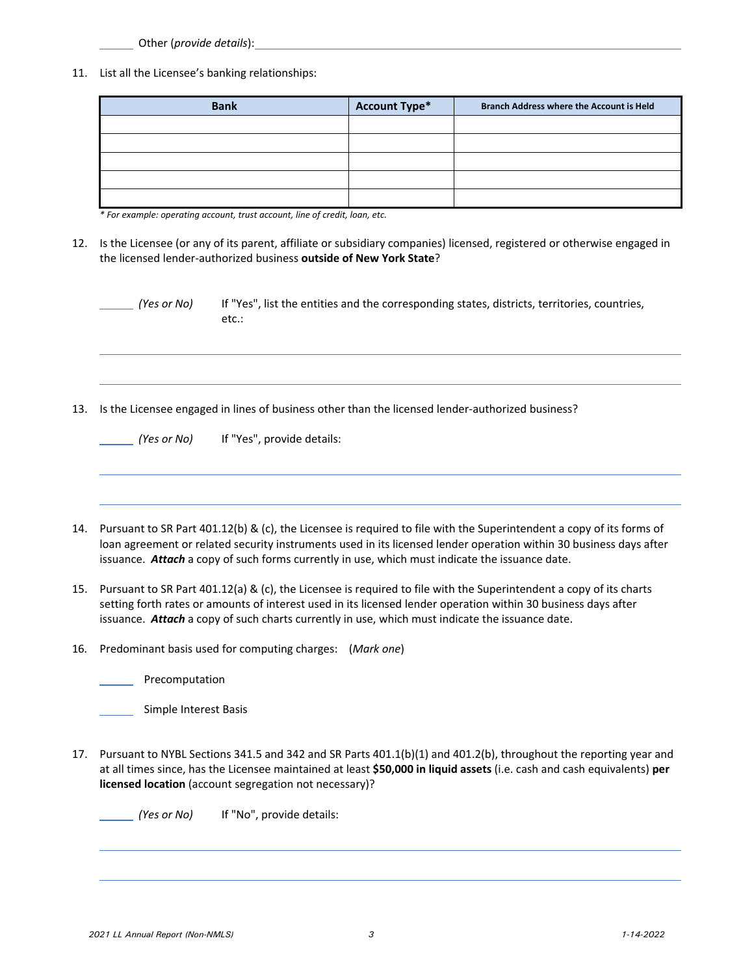Other (*provide details*):

11. List all the Licensee's banking relationships:

| <b>Bank</b> | <b>Account Type*</b> | <b>Branch Address where the Account is Held</b> |
|-------------|----------------------|-------------------------------------------------|
|             |                      |                                                 |
|             |                      |                                                 |
|             |                      |                                                 |
|             |                      |                                                 |
|             |                      |                                                 |

*\* For example: operating account, trust account, line of credit, loan, etc.*

12. Is the Licensee (or any of its parent, affiliate or subsidiary companies) licensed, registered or otherwise engaged in the licensed lender‐authorized business **outside of New York State**?

| (Yes or No) | If "Yes", list the entities and the corresponding states, districts, territories, countries,<br>etc.: |
|-------------|-------------------------------------------------------------------------------------------------------|
|             |                                                                                                       |
|             |                                                                                                       |
|             | Is the Licensee engaged in lines of business other than the licensed lender-authorized business?      |

- 14. Pursuant to SR Part 401.12(b) & (c), the Licensee is required to file with the Superintendent a copy of its forms of loan agreement or related security instruments used in its licensed lender operation within 30 business days after issuance. *Attach* a copy of such forms currently in use, which must indicate the issuance date.
- 15. Pursuant to SR Part 401.12(a) & (c), the Licensee is required to file with the Superintendent a copy of its charts setting forth rates or amounts of interest used in its licensed lender operation within 30 business days after issuance. *Attach* a copy of such charts currently in use, which must indicate the issuance date.
- 16. Predominant basis used for computing charges: (*Mark one*)

Precomputation

| Simple Interest Basis |  |
|-----------------------|--|
|                       |  |

17. Pursuant to NYBL Sections 341.5 and 342 and SR Parts 401.1(b)(1) and 401.2(b), throughout the reporting year and at all times since, has the Licensee maintained at least **\$50,000 in liquid assets** (i.e. cash and cash equivalents) **per licensed location** (account segregation not necessary)?

*(Yes or No)* If "No", provide details: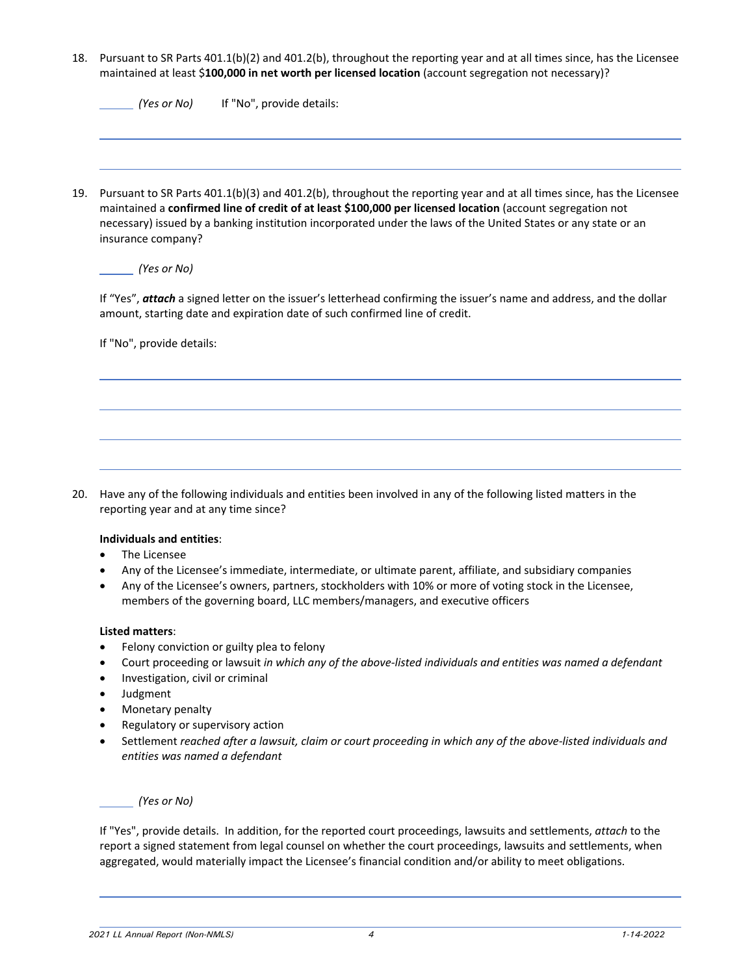18. Pursuant to SR Parts 401.1(b)(2) and 401.2(b), throughout the reporting year and at all times since, has the Licensee maintained at least \$**100,000 in net worth per licensed location** (account segregation not necessary)?

|     | (Yes or No)<br>If "No", provide details:                                                                                                                                                                                                                                                                                                                                    |
|-----|-----------------------------------------------------------------------------------------------------------------------------------------------------------------------------------------------------------------------------------------------------------------------------------------------------------------------------------------------------------------------------|
| 19. | Pursuant to SR Parts 401.1(b)(3) and 401.2(b), throughout the reporting year and at all times since, has the Licensee<br>maintained a confirmed line of credit of at least \$100,000 per licensed location (account segregation not<br>necessary) issued by a banking institution incorporated under the laws of the United States or any state or an<br>insurance company? |
|     | (Yes or No)                                                                                                                                                                                                                                                                                                                                                                 |
|     | If "Yes", attach a signed letter on the issuer's letterhead confirming the issuer's name and address, and the dollar<br>amount, starting date and expiration date of such confirmed line of credit.                                                                                                                                                                         |
|     | If "No", provide details:                                                                                                                                                                                                                                                                                                                                                   |
|     |                                                                                                                                                                                                                                                                                                                                                                             |
|     |                                                                                                                                                                                                                                                                                                                                                                             |
|     |                                                                                                                                                                                                                                                                                                                                                                             |
|     | Have any of the following individuals and entities been involved in any of the following listed matters in the<br>reporting year and at any time since?                                                                                                                                                                                                                     |
|     | Individuals and entities:                                                                                                                                                                                                                                                                                                                                                   |
|     | The Licensee                                                                                                                                                                                                                                                                                                                                                                |

 Any of the Licensee's owners, partners, stockholders with 10% or more of voting stock in the Licensee, members of the governing board, LLC members/managers, and executive officers

### **Listed matters**:

- Felony conviction or guilty plea to felony
- Court proceeding or lawsuit *in which any of the above‐listed individuals and entities was named a defendant*
- Investigation, civil or criminal
- Judgment
- Monetary penalty
- Regulatory or supervisory action
- Settlement reached after a lawsuit, claim or court proceeding in which any of the above-listed individuals and *entities was named a defendant*

*(Yes or No)* 

If "Yes", provide details. In addition, for the reported court proceedings, lawsuits and settlements, *attach* to the report a signed statement from legal counsel on whether the court proceedings, lawsuits and settlements, when aggregated, would materially impact the Licensee's financial condition and/or ability to meet obligations.

*2021 LL Annual Report (Non-NMLS) 4 1-14-2022*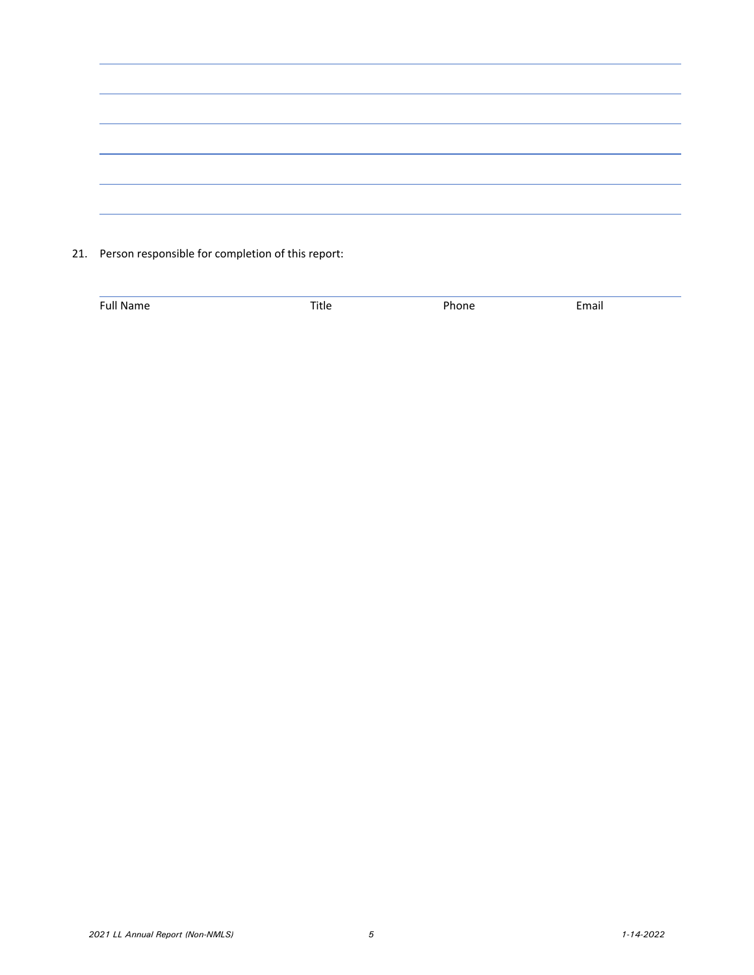| the control of the control of the                                                                                                                                                                                                    |
|--------------------------------------------------------------------------------------------------------------------------------------------------------------------------------------------------------------------------------------|
|                                                                                                                                                                                                                                      |
|                                                                                                                                                                                                                                      |
|                                                                                                                                                                                                                                      |
|                                                                                                                                                                                                                                      |
|                                                                                                                                                                                                                                      |
|                                                                                                                                                                                                                                      |
|                                                                                                                                                                                                                                      |
|                                                                                                                                                                                                                                      |
|                                                                                                                                                                                                                                      |
|                                                                                                                                                                                                                                      |
|                                                                                                                                                                                                                                      |
|                                                                                                                                                                                                                                      |
|                                                                                                                                                                                                                                      |
|                                                                                                                                                                                                                                      |
|                                                                                                                                                                                                                                      |
|                                                                                                                                                                                                                                      |
|                                                                                                                                                                                                                                      |
|                                                                                                                                                                                                                                      |
|                                                                                                                                                                                                                                      |
|                                                                                                                                                                                                                                      |
|                                                                                                                                                                                                                                      |
|                                                                                                                                                                                                                                      |
|                                                                                                                                                                                                                                      |
|                                                                                                                                                                                                                                      |
|                                                                                                                                                                                                                                      |
|                                                                                                                                                                                                                                      |
| <u> The Common State Common State Common State Common State Common State Common State Common State Common State Common State Common State Common State Common State Common State Common State Common State Common State Common S</u> |
|                                                                                                                                                                                                                                      |
|                                                                                                                                                                                                                                      |
|                                                                                                                                                                                                                                      |
|                                                                                                                                                                                                                                      |
|                                                                                                                                                                                                                                      |
|                                                                                                                                                                                                                                      |
|                                                                                                                                                                                                                                      |
|                                                                                                                                                                                                                                      |
|                                                                                                                                                                                                                                      |
|                                                                                                                                                                                                                                      |
|                                                                                                                                                                                                                                      |
|                                                                                                                                                                                                                                      |

21. Person responsible for completion of this report:

| $\overline{r}$<br>_____ | ____ | $-$ |  |
|-------------------------|------|-----|--|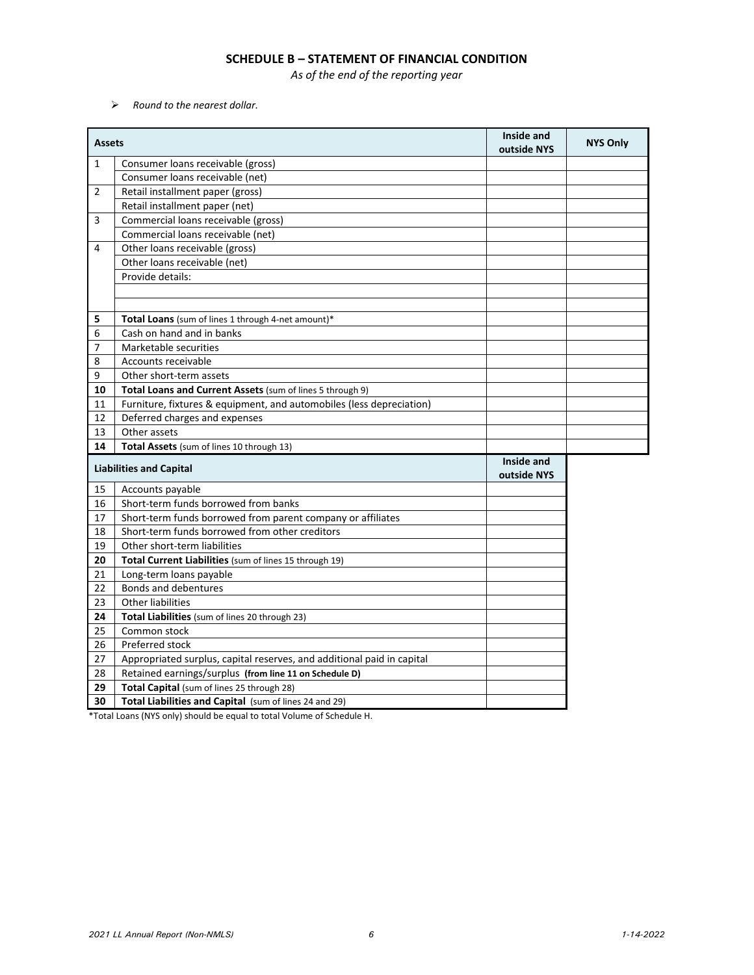### **SCHEDULE B – STATEMENT OF FINANCIAL CONDITION**

*As of the end of the reporting year*

*Round to the nearest dollar.*

| <b>Assets</b> |                                                                        | Inside and<br>outside NYS | <b>NYS Only</b> |
|---------------|------------------------------------------------------------------------|---------------------------|-----------------|
| $\mathbf{1}$  | Consumer loans receivable (gross)                                      |                           |                 |
|               | Consumer loans receivable (net)                                        |                           |                 |
| 2             | Retail installment paper (gross)                                       |                           |                 |
|               | Retail installment paper (net)                                         |                           |                 |
| 3             | Commercial loans receivable (gross)                                    |                           |                 |
|               | Commercial loans receivable (net)                                      |                           |                 |
| 4             | Other loans receivable (gross)                                         |                           |                 |
|               | Other loans receivable (net)                                           |                           |                 |
|               | Provide details:                                                       |                           |                 |
|               |                                                                        |                           |                 |
|               |                                                                        |                           |                 |
| 5             | Total Loans (sum of lines 1 through 4-net amount)*                     |                           |                 |
| 6             | Cash on hand and in banks                                              |                           |                 |
| 7             | Marketable securities                                                  |                           |                 |
| 8             | Accounts receivable                                                    |                           |                 |
| 9             | Other short-term assets                                                |                           |                 |
| 10            | Total Loans and Current Assets (sum of lines 5 through 9)              |                           |                 |
| 11            | Furniture, fixtures & equipment, and automobiles (less depreciation)   |                           |                 |
| 12            | Deferred charges and expenses                                          |                           |                 |
| 13            | Other assets                                                           |                           |                 |
| 14            | Total Assets (sum of lines 10 through 13)                              |                           |                 |
|               | <b>Liabilities and Capital</b>                                         | Inside and<br>outside NYS |                 |
| 15            | Accounts payable                                                       |                           |                 |
| 16            | Short-term funds borrowed from banks                                   |                           |                 |
| 17            | Short-term funds borrowed from parent company or affiliates            |                           |                 |
| 18            | Short-term funds borrowed from other creditors                         |                           |                 |
| 19            | Other short-term liabilities                                           |                           |                 |
| 20            | Total Current Liabilities (sum of lines 15 through 19)                 |                           |                 |
| 21            | Long-term loans payable                                                |                           |                 |
| 22            | Bonds and debentures                                                   |                           |                 |
| 23            | <b>Other liabilities</b>                                               |                           |                 |
| 24            | Total Liabilities (sum of lines 20 through 23)                         |                           |                 |
| 25            | Common stock                                                           |                           |                 |
| 26            | Preferred stock                                                        |                           |                 |
| 27            | Appropriated surplus, capital reserves, and additional paid in capital |                           |                 |
| 28            | Retained earnings/surplus (from line 11 on Schedule D)                 |                           |                 |
| 29            | Total Capital (sum of lines 25 through 28)                             |                           |                 |
| 30            | Total Liabilities and Capital (sum of lines 24 and 29)                 |                           |                 |
|               |                                                                        |                           |                 |

\*Total Loans (NYS only) should be equal to total Volume of Schedule H.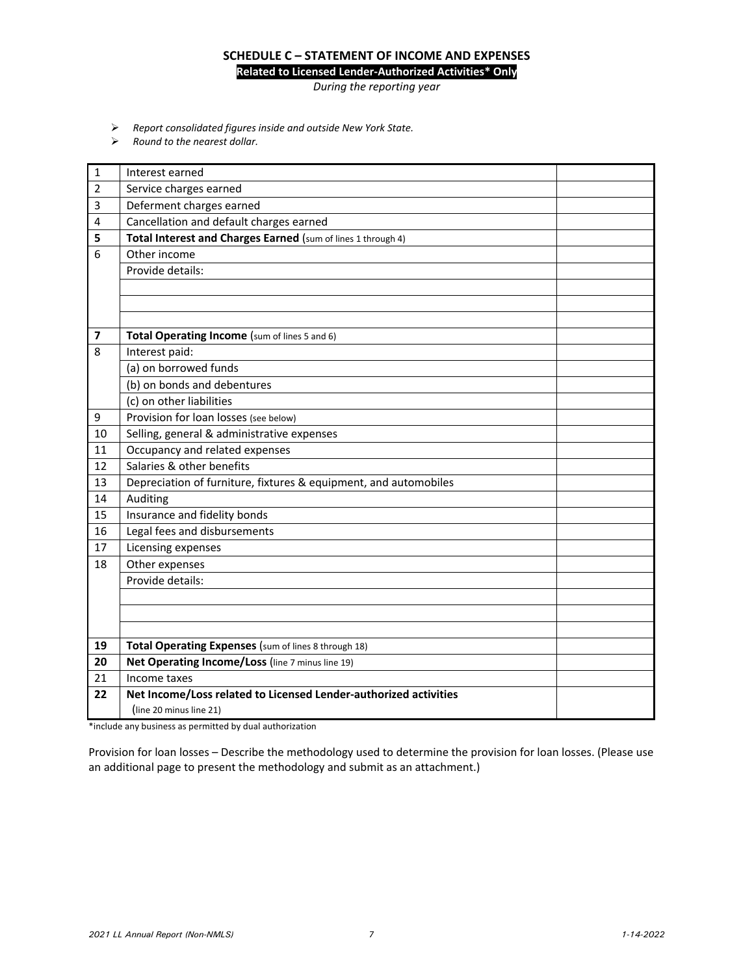# **SCHEDULE C – STATEMENT OF INCOME AND EXPENSES**

**Related to Licensed Lender‐Authorized Activities\* Only**

*During the reporting year*

- *Report consolidated figures inside and outside New York State.*
- *Round to the nearest dollar.*

| $\mathbf 1$             | Interest earned                                                  |  |
|-------------------------|------------------------------------------------------------------|--|
| $\overline{2}$          | Service charges earned                                           |  |
|                         |                                                                  |  |
| 3                       | Deferment charges earned                                         |  |
| 4                       | Cancellation and default charges earned                          |  |
| 5                       | Total Interest and Charges Earned (sum of lines 1 through 4)     |  |
| 6                       | Other income                                                     |  |
|                         | Provide details:                                                 |  |
|                         |                                                                  |  |
|                         |                                                                  |  |
|                         |                                                                  |  |
| $\overline{\mathbf{z}}$ | Total Operating Income (sum of lines 5 and 6)                    |  |
| 8                       | Interest paid:                                                   |  |
|                         | (a) on borrowed funds                                            |  |
|                         | (b) on bonds and debentures                                      |  |
|                         | (c) on other liabilities                                         |  |
| 9                       | Provision for loan losses (see below)                            |  |
| 10                      | Selling, general & administrative expenses                       |  |
| 11                      | Occupancy and related expenses                                   |  |
| 12                      | Salaries & other benefits                                        |  |
| 13                      | Depreciation of furniture, fixtures & equipment, and automobiles |  |
| 14                      | Auditing                                                         |  |
| 15                      | Insurance and fidelity bonds                                     |  |
| 16                      | Legal fees and disbursements                                     |  |
| 17                      | Licensing expenses                                               |  |
| 18                      | Other expenses                                                   |  |
|                         | Provide details:                                                 |  |
|                         |                                                                  |  |
|                         |                                                                  |  |
|                         |                                                                  |  |
| 19                      | Total Operating Expenses (sum of lines 8 through 18)             |  |
| 20                      | Net Operating Income/Loss (line 7 minus line 19)                 |  |
| 21                      | Income taxes                                                     |  |
| 22                      | Net Income/Loss related to Licensed Lender-authorized activities |  |
|                         | (line 20 minus line 21)                                          |  |
| $-1 - 1$                | state and states                                                 |  |

\*include any business as permitted by dual authorization

Provision for loan losses – Describe the methodology used to determine the provision for loan losses. (Please use an additional page to present the methodology and submit as an attachment.)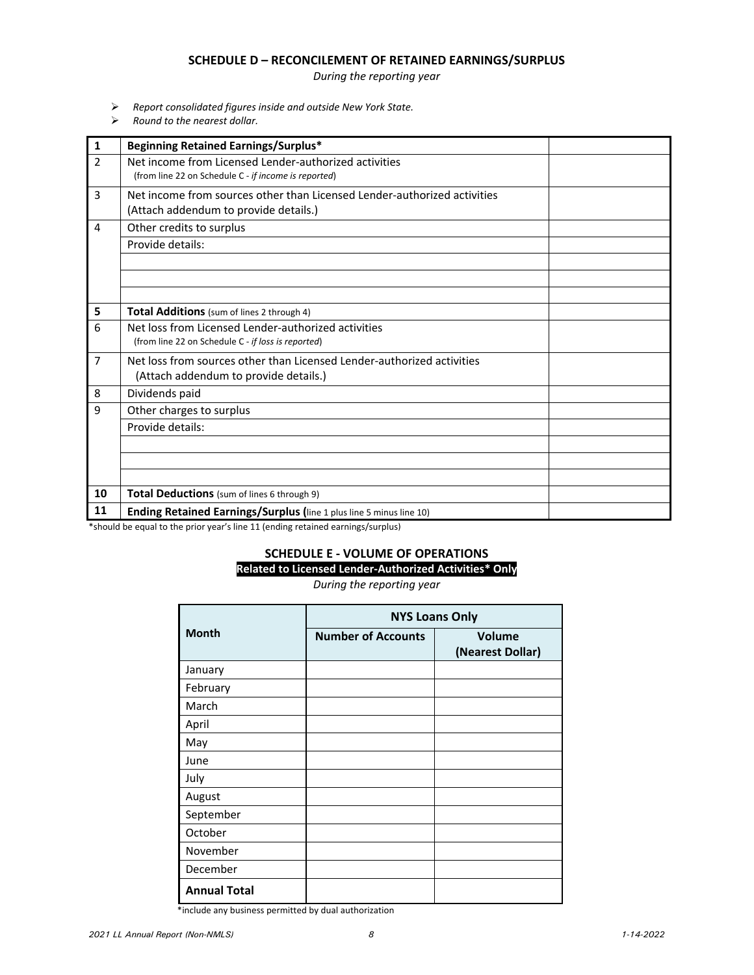### **SCHEDULE D – RECONCILEMENT OF RETAINED EARNINGS/SURPLUS**

*During the reporting year*

- *Report consolidated figures inside and outside New York State.*
- *Round to the nearest dollar.*

| 1              | <b>Beginning Retained Earnings/Surplus*</b>                                                                       |
|----------------|-------------------------------------------------------------------------------------------------------------------|
| $\overline{2}$ | Net income from Licensed Lender-authorized activities<br>(from line 22 on Schedule C - if income is reported)     |
| 3              | Net income from sources other than Licensed Lender-authorized activities<br>(Attach addendum to provide details.) |
| 4              | Other credits to surplus                                                                                          |
|                | Provide details:                                                                                                  |
|                |                                                                                                                   |
|                |                                                                                                                   |
|                |                                                                                                                   |
| 5              | Total Additions (sum of lines 2 through 4)                                                                        |
| 6              | Net loss from Licensed Lender-authorized activities                                                               |
|                | (from line 22 on Schedule C - if loss is reported)                                                                |
| $\overline{7}$ | Net loss from sources other than Licensed Lender-authorized activities                                            |
|                | (Attach addendum to provide details.)                                                                             |
| 8              | Dividends paid                                                                                                    |
| 9              | Other charges to surplus                                                                                          |
|                | Provide details:                                                                                                  |
|                |                                                                                                                   |
|                |                                                                                                                   |
|                |                                                                                                                   |
| 10             | Total Deductions (sum of lines 6 through 9)                                                                       |
| 11             | Ending Retained Earnings/Surplus (line 1 plus line 5 minus line 10)                                               |

\*should be equal to the prior year's line 11 (ending retained earnings/surplus)

# **SCHEDULE E ‐ VOLUME OF OPERATIONS**

**Related to Licensed Lender‐Authorized Activities\* Only**

*During the reporting year*

|                     | <b>NYS Loans Only</b>     |                            |
|---------------------|---------------------------|----------------------------|
| <b>Month</b>        | <b>Number of Accounts</b> | Volume<br>(Nearest Dollar) |
| January             |                           |                            |
| February            |                           |                            |
| March               |                           |                            |
| April               |                           |                            |
| May                 |                           |                            |
| June                |                           |                            |
| July                |                           |                            |
| August              |                           |                            |
| September           |                           |                            |
| October             |                           |                            |
| November            |                           |                            |
| December            |                           |                            |
| <b>Annual Total</b> |                           |                            |

\*include any business permitted by dual authorization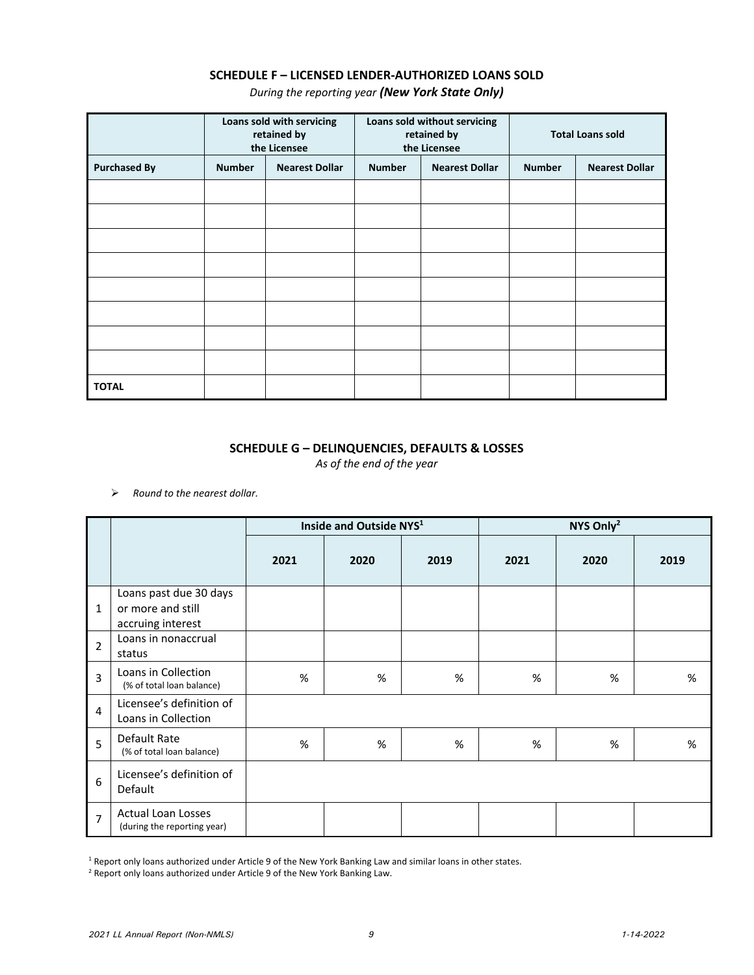# **SCHEDULE F – LICENSED LENDER‐AUTHORIZED LOANS SOLD**

*During the reporting year (New York State Only)*

|                     |               | Loans sold with servicing<br>retained by<br>the Licensee |               | Loans sold without servicing<br>retained by<br>the Licensee |               | <b>Total Loans sold</b> |
|---------------------|---------------|----------------------------------------------------------|---------------|-------------------------------------------------------------|---------------|-------------------------|
| <b>Purchased By</b> | <b>Number</b> | <b>Nearest Dollar</b>                                    | <b>Number</b> | <b>Nearest Dollar</b>                                       | <b>Number</b> | <b>Nearest Dollar</b>   |
|                     |               |                                                          |               |                                                             |               |                         |
|                     |               |                                                          |               |                                                             |               |                         |
|                     |               |                                                          |               |                                                             |               |                         |
|                     |               |                                                          |               |                                                             |               |                         |
|                     |               |                                                          |               |                                                             |               |                         |
|                     |               |                                                          |               |                                                             |               |                         |
|                     |               |                                                          |               |                                                             |               |                         |
|                     |               |                                                          |               |                                                             |               |                         |
| <b>TOTAL</b>        |               |                                                          |               |                                                             |               |                         |

## **SCHEDULE G – DELINQUENCIES, DEFAULTS & LOSSES**

*As of the end of the year*

*Round to the nearest dollar.*

|                |                                                                  |      | Inside and Outside NYS <sup>1</sup> |      |      | NYS Only <sup>2</sup> |      |
|----------------|------------------------------------------------------------------|------|-------------------------------------|------|------|-----------------------|------|
|                |                                                                  | 2021 | 2020                                | 2019 | 2021 | 2020                  | 2019 |
| $\mathbf{1}$   | Loans past due 30 days<br>or more and still<br>accruing interest |      |                                     |      |      |                       |      |
| $\overline{2}$ | Loans in nonaccrual<br>status                                    |      |                                     |      |      |                       |      |
| $\overline{3}$ | Loans in Collection<br>(% of total loan balance)                 | %    | $\%$                                | %    | %    | %                     | %    |
| 4              | Licensee's definition of<br>Loans in Collection                  |      |                                     |      |      |                       |      |
| 5              | Default Rate<br>(% of total loan balance)                        | %    | $\%$                                | %    | %    | %                     | %    |
| 6              | Licensee's definition of<br>Default                              |      |                                     |      |      |                       |      |
| $\overline{7}$ | <b>Actual Loan Losses</b><br>(during the reporting year)         |      |                                     |      |      |                       |      |

<sup>1</sup> Report only loans authorized under Article 9 of the New York Banking Law and similar loans in other states.

<sup>2</sup> Report only loans authorized under Article 9 of the New York Banking Law.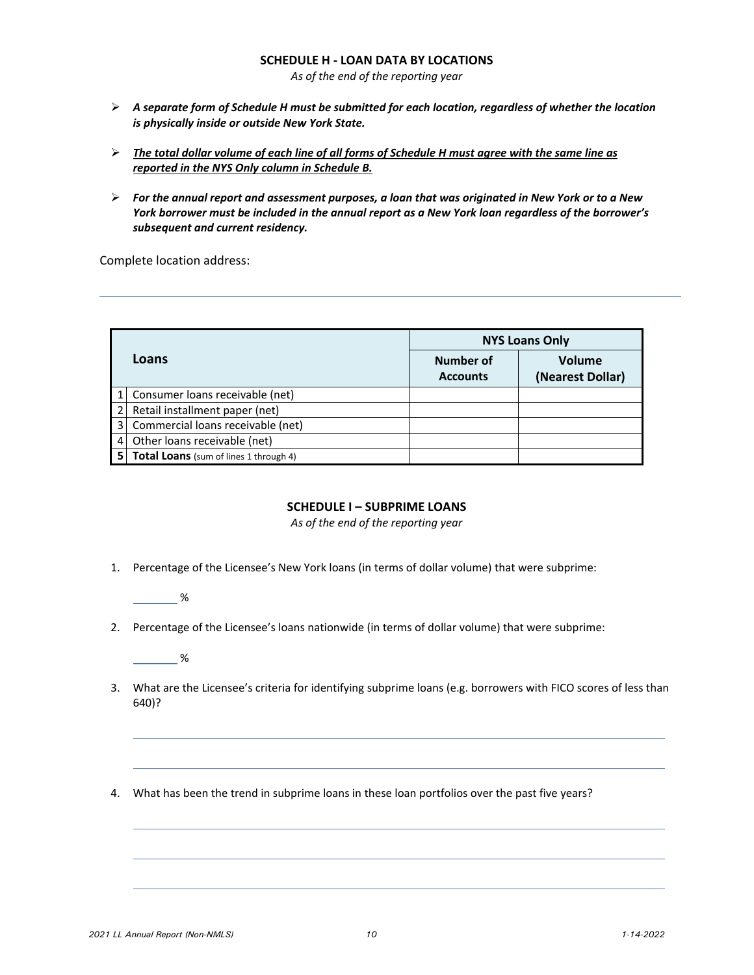### **SCHEDULE H ‐ LOAN DATA BY LOCATIONS**

*As of the end of the reporting year*

- *A separate form of Schedule H must be submitted for each location, regardless of whether the location is physically inside or outside New York State.*
- $\triangleright$  The total dollar volume of each line of all forms of Schedule H must agree with the same line as *reported in the NYS Only column in Schedule B.*
- $\triangleright$  For the annual report and assessment purposes, a loan that was originated in New York or to a New York borrower must be included in the annual report as a New York loan regardless of the borrower's *subsequent and current residency.*

Complete location address:

|   |                                               |                              | <b>NYS Loans Only</b>      |
|---|-----------------------------------------------|------------------------------|----------------------------|
|   | Loans                                         | Number of<br><b>Accounts</b> | Volume<br>(Nearest Dollar) |
|   | Consumer loans receivable (net)               |                              |                            |
|   | Retail installment paper (net)                |                              |                            |
| 3 | Commercial loans receivable (net)             |                              |                            |
|   | Other loans receivable (net)                  |                              |                            |
|   | <b>Total Loans</b> (sum of lines 1 through 4) |                              |                            |

### **SCHEDULE I – SUBPRIME LOANS**

*As of the end of the reporting year*

- 1. Percentage of the Licensee's New York loans (in terms of dollar volume) that were subprime:
	- %
- 2. Percentage of the Licensee's loans nationwide (in terms of dollar volume) that were subprime:

 $\sim$  %

- 3. What are the Licensee's criteria for identifying subprime loans (e.g. borrowers with FICO scores of less than 640)?
- 4. What has been the trend in subprime loans in these loan portfolios over the past five years?